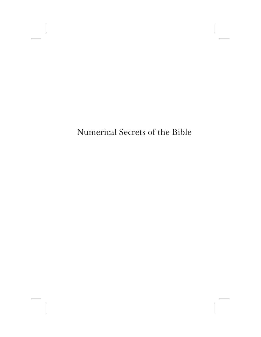Numerical Secrets of the Bible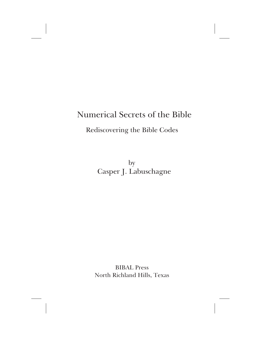## Numerical Secrets of the Bible

Rediscovering the Bible Codes

by Casper J. Labuschagne

BIBAL Press North Richland Hills, Texas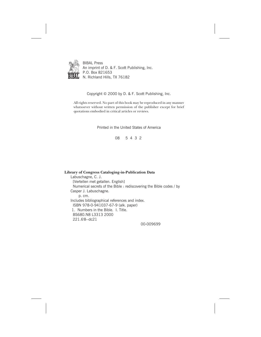

BIBAL Press An imprint of D. & F. Scott Publishing, Inc. P.O. Box 821653 N. Richland Hills, TX 76182

Copyright © 2000 by D. & F. Scott Publishing, Inc.

All rights reserved. No part of this book may be reproduced in any manner whatsoever without written permission of the publisher except for brief quotations embodied in critical articles or reviews.

Printed in the United States of America

08 5 4 3 2

**Library of Congress Cataloging-in-Publication Data** Labuschagne, C. J. [Vertellen met getallen. English] Numerical secrets of the Bible : rediscovering the Bible codes / by Casper J. Labuschagne. p. cm. Includes bibliographical references and index. ISBN 978-0-941037-67-9 (alk. paper) 1. Numbers in the Bible. I. Title. BS680.N8 L3313 2000 221.6'8--dc21

00-009699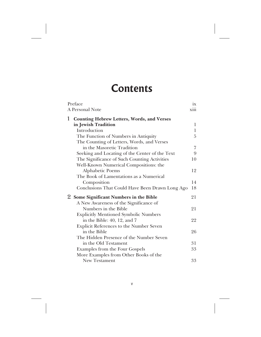## **Contents**

|              | Preface                                           | 1X |
|--------------|---------------------------------------------------|----|
|              | A Personal Note                                   |    |
| $\mathbf{1}$ | <b>Counting Hebrew Letters, Words, and Verses</b> |    |
|              | in Jewish Tradition                               | 1  |
|              | Introduction                                      | 1  |
|              | The Function of Numbers in Antiquity              | 5  |
|              | The Counting of Letters, Words, and Verses        |    |
|              | in the Masoretic Tradition                        | 7  |
|              | Seeking and Locating of the Center of the Text    | 9  |
|              | The Significance of Such Counting Activities      | 10 |
|              | Well-Known Numerical Compositions: the            |    |
|              | Alphabetic Poems                                  | 12 |
|              | The Book of Lamentations as a Numerical           |    |
|              | Composition                                       | 14 |
|              | Conclusions That Could Have Been Drawn Long Ago   | 18 |
|              | 2 Some Significant Numbers in the Bible           | 21 |
|              | A New Awareness of the Significance of            |    |
|              | Numbers in the Bible                              | 21 |
|              | <b>Explicitly Mentioned Symbolic Numbers</b>      |    |
|              | in the Bible: 40, 12, and 7                       | 22 |
|              | <b>Explicit References to the Number Seven</b>    |    |
|              | in the Bible                                      | 26 |
|              | The Hidden Presence of the Number Seven           |    |
|              | in the Old Testament                              | 31 |
|              | <b>Examples from the Four Gospels</b>             | 33 |
|              | More Examples from Other Books of the             |    |
|              | <b>New Testament</b>                              | 33 |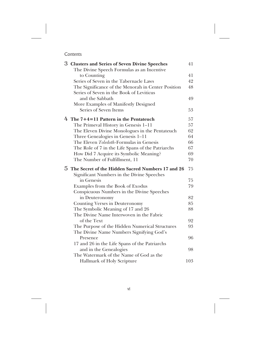## Contents

| 3 Clusters and Series of Seven Divine Speeches<br>The Divine Speech Formulas as an Incentive | 41  |
|----------------------------------------------------------------------------------------------|-----|
| to Counting                                                                                  | 41  |
| Series of Seven in the Tabernacle Laws                                                       | 42  |
| The Significance of the Menorah in Center Position                                           | 48  |
| Series of Seven in the Book of Leviticus                                                     |     |
| and the Sabbath                                                                              | 49  |
| More Examples of Manifestly Designed                                                         |     |
| Series of Seven Items                                                                        | 53  |
| $4$ The $7+4=11$ Pattern in the Pentateuch                                                   | 57  |
| The Primeval History in Genesis 1-11                                                         | 57  |
| The Eleven Divine Monologues in the Pentateuch                                               | 62  |
| Three Genealogies in Genesis 1–11                                                            | 64  |
| The Eleven <i>Toledoth</i> -Formulas in Genesis                                              | 66  |
| The Role of 7 in the Life Spans of the Patriarchs                                            | 67  |
| How Did 7 Acquire its Symbolic Meaning?                                                      | 69  |
| The Number of Fulfillment, 11                                                                | 70  |
|                                                                                              |     |
| 5 The Secret of the Hidden Sacred Numbers 17 and 26                                          | 75  |
| Significant Numbers in the Divine Speeches                                                   |     |
| in Genesis                                                                                   | 75  |
| Examples from the Book of Exodus                                                             | 79  |
| Conspicuous Numbers in the Divine Speeches                                                   |     |
| in Deuteronomy                                                                               | 82  |
| Counting Verses in Deuteronomy                                                               | 85  |
| The Symbolic Meaning of 17 and 26                                                            | 88  |
| The Divine Name Interwoven in the Fabric                                                     |     |
| of the Text                                                                                  | 92  |
| The Purpose of the Hidden Numerical Structures                                               | 93  |
| The Divine Name Numbers Signifying God's                                                     |     |
| Presence                                                                                     | 96  |
| 17 and 26 in the Life Spans of the Patriarchs                                                |     |
| and in the Genealogies                                                                       | 98  |
| The Watermark of the Name of God as the<br>Hallmark of Holy Scripture                        | 103 |